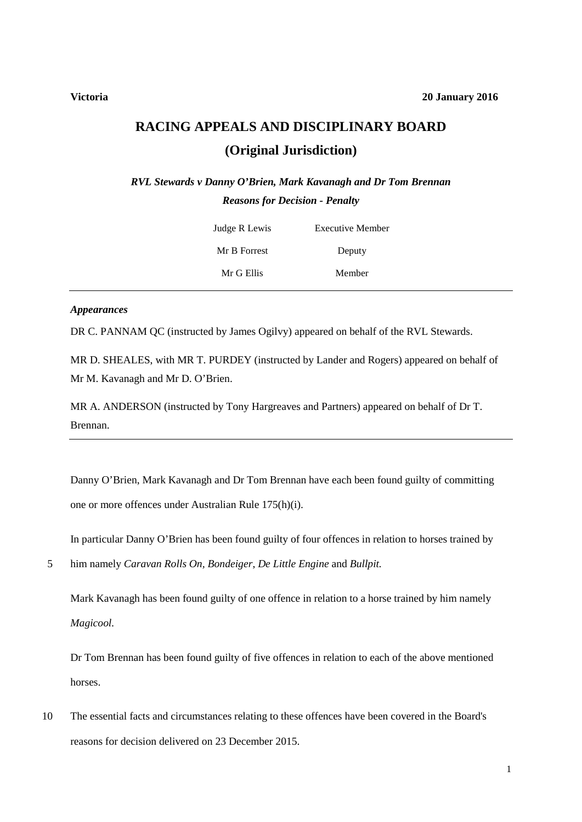# **RACING APPEALS AND DISCIPLINARY BOARD (Original Jurisdiction)**

*RVL Stewards v Danny O'Brien, Mark Kavanagh and Dr Tom Brennan Reasons for Decision - Penalty*

| Judge R Lewis | Executive Member |  |
|---------------|------------------|--|
| Mr B Forrest  | Deputy           |  |
| Mr G Ellis    | Member           |  |

#### *Appearances*

DR C. PANNAM QC (instructed by James Ogilvy) appeared on behalf of the RVL Stewards.

MR D. SHEALES, with MR T. PURDEY (instructed by Lander and Rogers) appeared on behalf of Mr M. Kavanagh and Mr D. O'Brien.

MR A. ANDERSON (instructed by Tony Hargreaves and Partners) appeared on behalf of Dr T. Brennan.

Danny O'Brien, Mark Kavanagh and Dr Tom Brennan have each been found guilty of committing one or more offences under Australian Rule 175(h)(i).

In particular Danny O'Brien has been found guilty of four offences in relation to horses trained by

5 him namely *Caravan Rolls On, Bondeiger*, *De Little Engine* and *Bullpit.*

Mark Kavanagh has been found guilty of one offence in relation to a horse trained by him namely *Magicool.*

Dr Tom Brennan has been found guilty of five offences in relation to each of the above mentioned horses.

10 The essential facts and circumstances relating to these offences have been covered in the Board's reasons for decision delivered on 23 December 2015.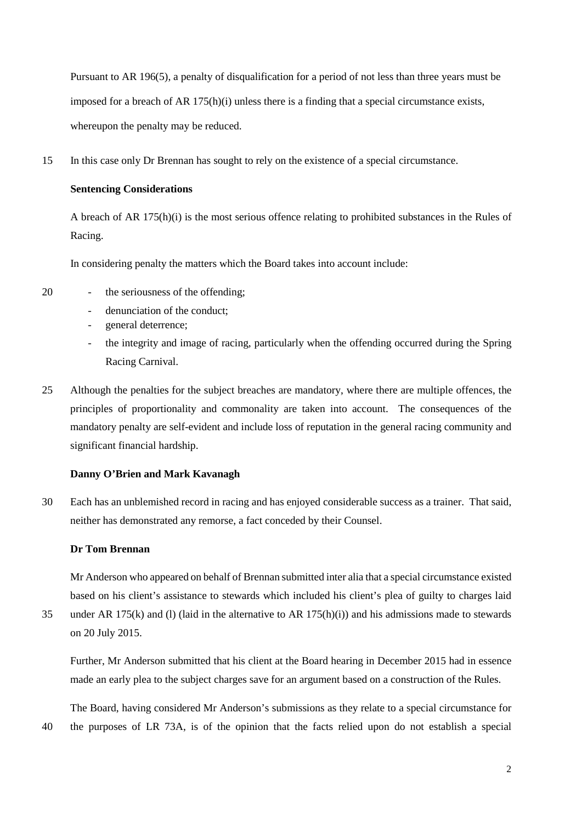Pursuant to AR 196(5), a penalty of disqualification for a period of not less than three years must be imposed for a breach of AR 175(h)(i) unless there is a finding that a special circumstance exists, whereupon the penalty may be reduced.

15 In this case only Dr Brennan has sought to rely on the existence of a special circumstance.

#### **Sentencing Considerations**

A breach of AR 175(h)(i) is the most serious offence relating to prohibited substances in the Rules of Racing.

In considering penalty the matters which the Board takes into account include:

- 
- 20 the seriousness of the offending;
	- denunciation of the conduct;
	- general deterrence;
	- the integrity and image of racing, particularly when the offending occurred during the Spring Racing Carnival.
- 25 Although the penalties for the subject breaches are mandatory, where there are multiple offences, the principles of proportionality and commonality are taken into account. The consequences of the mandatory penalty are self-evident and include loss of reputation in the general racing community and significant financial hardship.

### **Danny O'Brien and Mark Kavanagh**

30 Each has an unblemished record in racing and has enjoyed considerable success as a trainer. That said, neither has demonstrated any remorse, a fact conceded by their Counsel.

#### **Dr Tom Brennan**

Mr Anderson who appeared on behalf of Brennan submitted inter alia that a special circumstance existed based on his client's assistance to stewards which included his client's plea of guilty to charges laid

35 under AR 175(k) and (l) (laid in the alternative to AR 175(h)(i)) and his admissions made to stewards on 20 July 2015.

Further, Mr Anderson submitted that his client at the Board hearing in December 2015 had in essence made an early plea to the subject charges save for an argument based on a construction of the Rules.

The Board, having considered Mr Anderson's submissions as they relate to a special circumstance for 40 the purposes of LR 73A, is of the opinion that the facts relied upon do not establish a special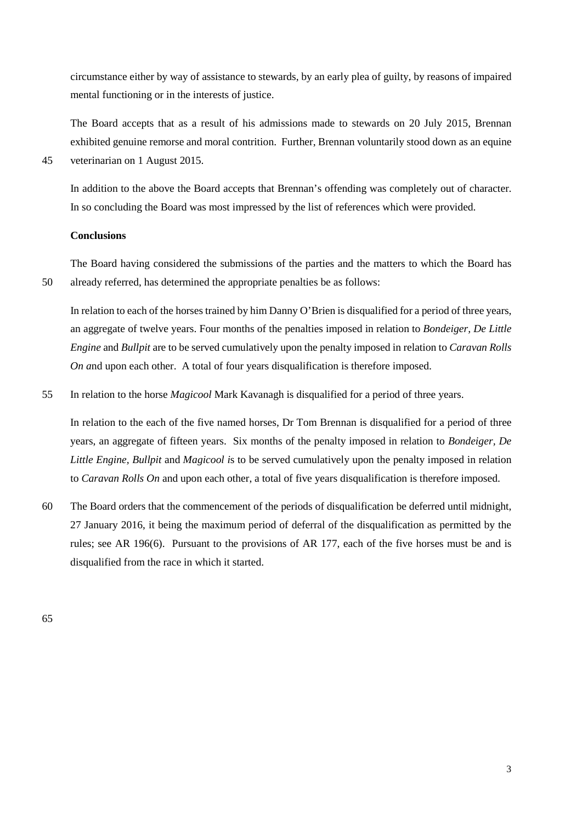circumstance either by way of assistance to stewards, by an early plea of guilty, by reasons of impaired mental functioning or in the interests of justice.

The Board accepts that as a result of his admissions made to stewards on 20 July 2015, Brennan exhibited genuine remorse and moral contrition. Further, Brennan voluntarily stood down as an equine 45 veterinarian on 1 August 2015.

In addition to the above the Board accepts that Brennan's offending was completely out of character. In so concluding the Board was most impressed by the list of references which were provided.

#### **Conclusions**

The Board having considered the submissions of the parties and the matters to which the Board has 50 already referred, has determined the appropriate penalties be as follows:

In relation to each of the horses trained by him Danny O'Brien is disqualified for a period of three years, an aggregate of twelve years. Four months of the penalties imposed in relation to *Bondeiger, De Little Engine* and *Bullpit* are to be served cumulatively upon the penalty imposed in relation to *Caravan Rolls On a*nd upon each other. A total of four years disqualification is therefore imposed.

55 In relation to the horse *Magicool* Mark Kavanagh is disqualified for a period of three years.

In relation to the each of the five named horses, Dr Tom Brennan is disqualified for a period of three years, an aggregate of fifteen years. Six months of the penalty imposed in relation to *Bondeiger, De Little Engine, Bullpit* and *Magicool i*s to be served cumulatively upon the penalty imposed in relation to *Caravan Rolls On* and upon each other, a total of five years disqualification is therefore imposed.

60 The Board orders that the commencement of the periods of disqualification be deferred until midnight, 27 January 2016, it being the maximum period of deferral of the disqualification as permitted by the rules; see AR 196(6). Pursuant to the provisions of AR 177, each of the five horses must be and is disqualified from the race in which it started.

65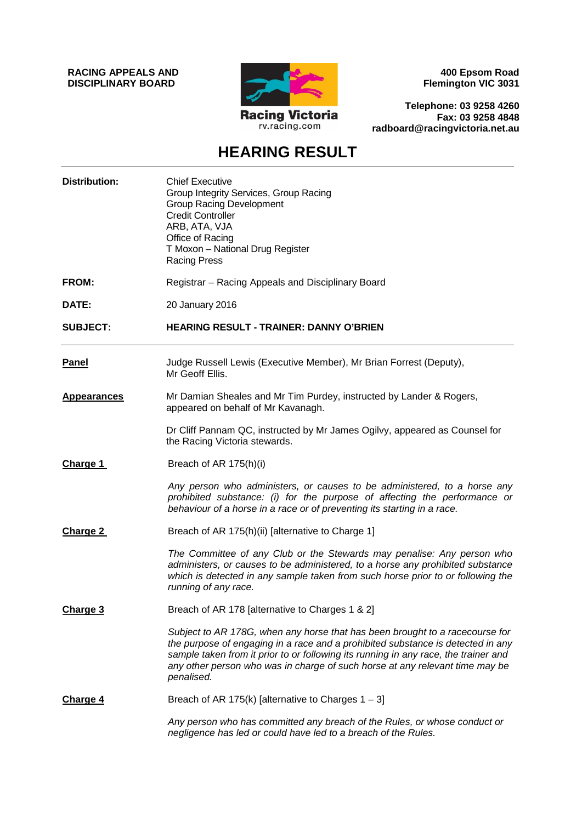**RACING APPEALS AND DISCIPLINARY BOARD**



**400 Epsom Road Flemington VIC 3031**

**Telephone: 03 9258 4260 Fax: 03 9258 4848 radboard@racingvictoria.net.au**

## **HEARING RESULT**

| <b>Distribution:</b> | <b>Chief Executive</b><br>Group Integrity Services, Group Racing<br><b>Group Racing Development</b><br><b>Credit Controller</b><br>ARB, ATA, VJA<br>Office of Racing<br>T Moxon - National Drug Register<br><b>Racing Press</b>                                                                                                                      |
|----------------------|------------------------------------------------------------------------------------------------------------------------------------------------------------------------------------------------------------------------------------------------------------------------------------------------------------------------------------------------------|
| FROM:                | Registrar - Racing Appeals and Disciplinary Board                                                                                                                                                                                                                                                                                                    |
| DATE:                | 20 January 2016                                                                                                                                                                                                                                                                                                                                      |
| <b>SUBJECT:</b>      | <b>HEARING RESULT - TRAINER: DANNY O'BRIEN</b>                                                                                                                                                                                                                                                                                                       |
| <b>Panel</b>         | Judge Russell Lewis (Executive Member), Mr Brian Forrest (Deputy),<br>Mr Geoff Ellis.                                                                                                                                                                                                                                                                |
| <b>Appearances</b>   | Mr Damian Sheales and Mr Tim Purdey, instructed by Lander & Rogers,<br>appeared on behalf of Mr Kavanagh.                                                                                                                                                                                                                                            |
|                      | Dr Cliff Pannam QC, instructed by Mr James Ogilvy, appeared as Counsel for<br>the Racing Victoria stewards.                                                                                                                                                                                                                                          |
| Charge 1             | Breach of AR 175(h)(i)                                                                                                                                                                                                                                                                                                                               |
|                      | Any person who administers, or causes to be administered, to a horse any<br>prohibited substance: (i) for the purpose of affecting the performance or<br>behaviour of a horse in a race or of preventing its starting in a race.                                                                                                                     |
| Charge 2             | Breach of AR 175(h)(ii) [alternative to Charge 1]                                                                                                                                                                                                                                                                                                    |
|                      | The Committee of any Club or the Stewards may penalise: Any person who<br>administers, or causes to be administered, to a horse any prohibited substance<br>which is detected in any sample taken from such horse prior to or following the<br>running of any race.                                                                                  |
| Charge 3             | Breach of AR 178 [alternative to Charges 1 & 2]                                                                                                                                                                                                                                                                                                      |
|                      | Subject to AR 178G, when any horse that has been brought to a racecourse for<br>the purpose of engaging in a race and a prohibited substance is detected in any<br>sample taken from it prior to or following its running in any race, the trainer and<br>any other person who was in charge of such horse at any relevant time may be<br>penalised. |
| Charge 4             | Breach of AR 175(k) [alternative to Charges $1 - 3$ ]                                                                                                                                                                                                                                                                                                |
|                      | Any person who has committed any breach of the Rules, or whose conduct or<br>negligence has led or could have led to a breach of the Rules.                                                                                                                                                                                                          |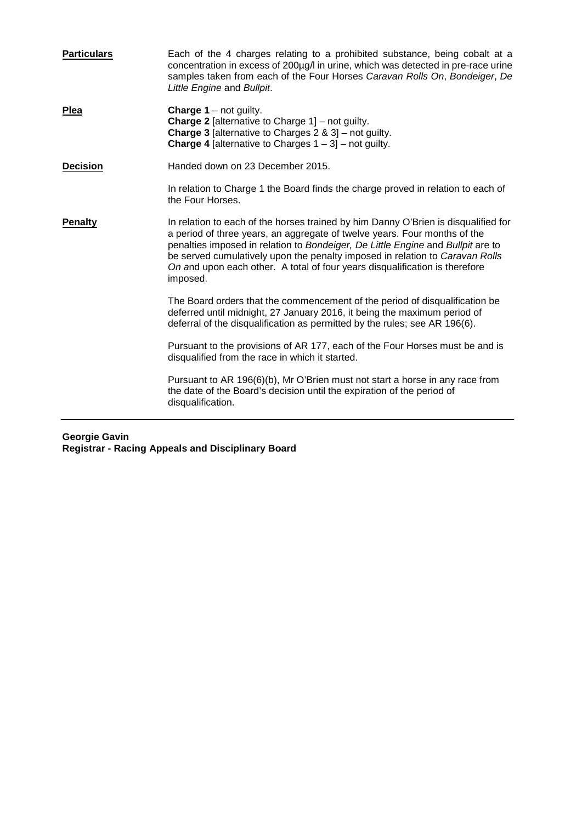| <b>Particulars</b> | Each of the 4 charges relating to a prohibited substance, being cobalt at a<br>concentration in excess of 200µg/l in urine, which was detected in pre-race urine<br>samples taken from each of the Four Horses Caravan Rolls On, Bondeiger, De<br>Little Engine and Bullpit.                                                                                                                                                  |
|--------------------|-------------------------------------------------------------------------------------------------------------------------------------------------------------------------------------------------------------------------------------------------------------------------------------------------------------------------------------------------------------------------------------------------------------------------------|
| <b>Plea</b>        | <b>Charge 1</b> – not guilty.<br><b>Charge 2</b> [alternative to Charge $1$ ] – not guilty.<br><b>Charge 3</b> [alternative to Charges $2 \& 3$ ] – not guilty.<br><b>Charge 4</b> [alternative to Charges $1 - 3$ ] – not guilty.                                                                                                                                                                                            |
| <b>Decision</b>    | Handed down on 23 December 2015.                                                                                                                                                                                                                                                                                                                                                                                              |
|                    | In relation to Charge 1 the Board finds the charge proved in relation to each of<br>the Four Horses.                                                                                                                                                                                                                                                                                                                          |
| <b>Penalty</b>     | In relation to each of the horses trained by him Danny O'Brien is disqualified for<br>a period of three years, an aggregate of twelve years. Four months of the<br>penalties imposed in relation to Bondeiger, De Little Engine and Bullpit are to<br>be served cumulatively upon the penalty imposed in relation to Caravan Rolls<br>On and upon each other. A total of four years disqualification is therefore<br>imposed. |
|                    | The Board orders that the commencement of the period of disqualification be<br>deferred until midnight, 27 January 2016, it being the maximum period of<br>deferral of the disqualification as permitted by the rules; see AR 196(6).                                                                                                                                                                                         |
|                    | Pursuant to the provisions of AR 177, each of the Four Horses must be and is<br>disqualified from the race in which it started.                                                                                                                                                                                                                                                                                               |
|                    | Pursuant to AR 196(6)(b), Mr O'Brien must not start a horse in any race from<br>the date of the Board's decision until the expiration of the period of<br>disqualification.                                                                                                                                                                                                                                                   |
|                    |                                                                                                                                                                                                                                                                                                                                                                                                                               |

#### **Georgie Gavin Registrar - Racing Appeals and Disciplinary Board**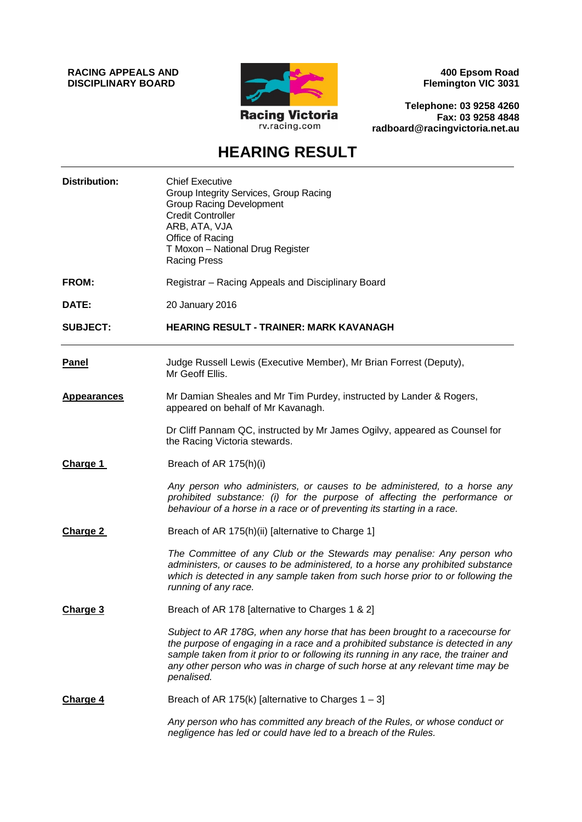**RACING APPEALS AND DISCIPLINARY BOARD**



**400 Epsom Road Flemington VIC 3031**

**Telephone: 03 9258 4260 Fax: 03 9258 4848 radboard@racingvictoria.net.au**

### **HEARING RESULT**

| <b>Distribution:</b> | <b>Chief Executive</b><br>Group Integrity Services, Group Racing<br><b>Group Racing Development</b><br><b>Credit Controller</b><br>ARB, ATA, VJA<br>Office of Racing<br>T Moxon - National Drug Register<br><b>Racing Press</b>                                                                                                                      |
|----------------------|------------------------------------------------------------------------------------------------------------------------------------------------------------------------------------------------------------------------------------------------------------------------------------------------------------------------------------------------------|
| FROM:                | Registrar - Racing Appeals and Disciplinary Board                                                                                                                                                                                                                                                                                                    |
| DATE:                | 20 January 2016                                                                                                                                                                                                                                                                                                                                      |
| <b>SUBJECT:</b>      | <b>HEARING RESULT - TRAINER: MARK KAVANAGH</b>                                                                                                                                                                                                                                                                                                       |
| <b>Panel</b>         | Judge Russell Lewis (Executive Member), Mr Brian Forrest (Deputy),<br>Mr Geoff Ellis.                                                                                                                                                                                                                                                                |
| <b>Appearances</b>   | Mr Damian Sheales and Mr Tim Purdey, instructed by Lander & Rogers,<br>appeared on behalf of Mr Kavanagh.                                                                                                                                                                                                                                            |
|                      | Dr Cliff Pannam QC, instructed by Mr James Ogilvy, appeared as Counsel for<br>the Racing Victoria stewards.                                                                                                                                                                                                                                          |
| Charge 1             | Breach of AR 175(h)(i)                                                                                                                                                                                                                                                                                                                               |
|                      | Any person who administers, or causes to be administered, to a horse any<br>prohibited substance: (i) for the purpose of affecting the performance or<br>behaviour of a horse in a race or of preventing its starting in a race.                                                                                                                     |
| Charge 2             | Breach of AR 175(h)(ii) [alternative to Charge 1]                                                                                                                                                                                                                                                                                                    |
|                      | The Committee of any Club or the Stewards may penalise: Any person who<br>administers, or causes to be administered, to a horse any prohibited substance<br>which is detected in any sample taken from such horse prior to or following the<br>running of any race.                                                                                  |
| Charge 3             | Breach of AR 178 [alternative to Charges 1 & 2]                                                                                                                                                                                                                                                                                                      |
|                      | Subject to AR 178G, when any horse that has been brought to a racecourse for<br>the purpose of engaging in a race and a prohibited substance is detected in any<br>sample taken from it prior to or following its running in any race, the trainer and<br>any other person who was in charge of such horse at any relevant time may be<br>penalised. |
| Charge 4             | Breach of AR 175(k) [alternative to Charges $1 - 3$ ]                                                                                                                                                                                                                                                                                                |
|                      | Any person who has committed any breach of the Rules, or whose conduct or<br>negligence has led or could have led to a breach of the Rules.                                                                                                                                                                                                          |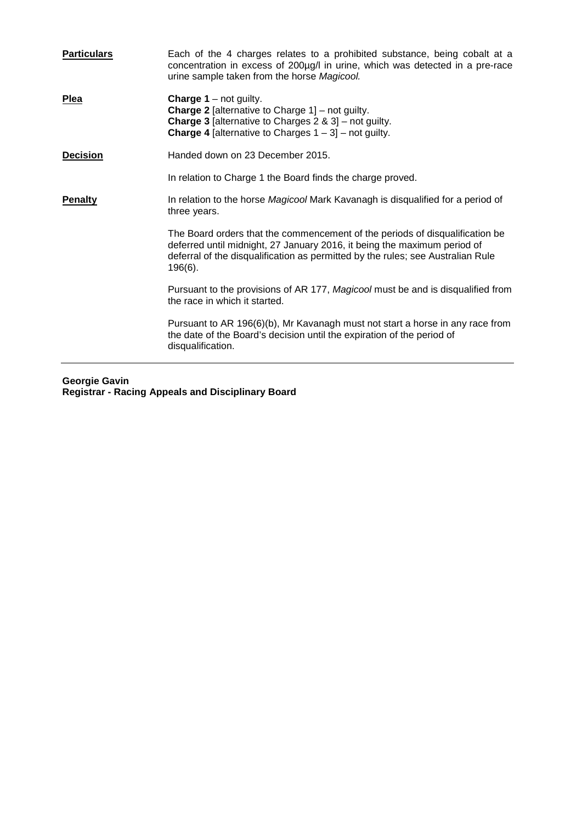| <b>Particulars</b> | Each of the 4 charges relates to a prohibited substance, being cobalt at a<br>concentration in excess of 200µg/l in urine, which was detected in a pre-race<br>urine sample taken from the horse Magicool.                                                |
|--------------------|-----------------------------------------------------------------------------------------------------------------------------------------------------------------------------------------------------------------------------------------------------------|
| <b>Plea</b>        | <b>Charge 1</b> – not guilty.<br><b>Charge 2</b> [alternative to Charge $1$ ] – not guilty.<br><b>Charge 3</b> [alternative to Charges $2 \& 3$ ] – not guilty.<br><b>Charge 4</b> [alternative to Charges $1 - 3$ ] – not guilty.                        |
| <b>Decision</b>    | Handed down on 23 December 2015.                                                                                                                                                                                                                          |
|                    | In relation to Charge 1 the Board finds the charge proved.                                                                                                                                                                                                |
| <b>Penalty</b>     | In relation to the horse Magicool Mark Kavanagh is disqualified for a period of<br>three years.                                                                                                                                                           |
|                    | The Board orders that the commencement of the periods of disqualification be<br>deferred until midnight, 27 January 2016, it being the maximum period of<br>deferral of the disqualification as permitted by the rules; see Australian Rule<br>$196(6)$ . |
|                    | Pursuant to the provisions of AR 177, Magicool must be and is disqualified from<br>the race in which it started.                                                                                                                                          |
|                    | Pursuant to AR 196(6)(b), Mr Kavanagh must not start a horse in any race from<br>the date of the Board's decision until the expiration of the period of<br>disqualification.                                                                              |

**Georgie Gavin Registrar - Racing Appeals and Disciplinary Board**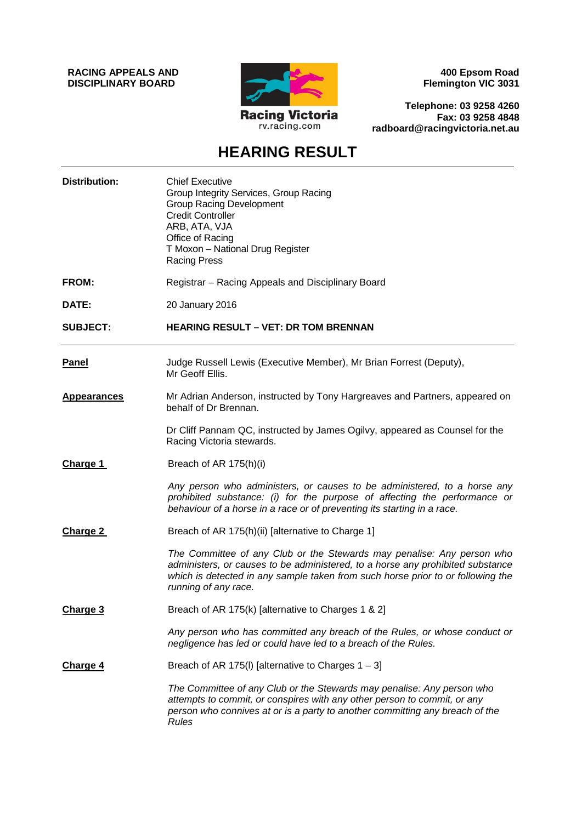**RACING APPEALS AND DISCIPLINARY BOARD**



**400 Epsom Road Flemington VIC 3031**

**Telephone: 03 9258 4260 Fax: 03 9258 4848 radboard@racingvictoria.net.au**

## **HEARING RESULT**

| <b>Distribution:</b> | <b>Chief Executive</b><br>Group Integrity Services, Group Racing<br><b>Group Racing Development</b><br><b>Credit Controller</b><br>ARB, ATA, VJA<br>Office of Racing<br>T Moxon - National Drug Register<br><b>Racing Press</b>                                     |
|----------------------|---------------------------------------------------------------------------------------------------------------------------------------------------------------------------------------------------------------------------------------------------------------------|
| <b>FROM:</b>         | Registrar - Racing Appeals and Disciplinary Board                                                                                                                                                                                                                   |
| DATE:                | 20 January 2016                                                                                                                                                                                                                                                     |
| <b>SUBJECT:</b>      | <b>HEARING RESULT – VET: DR TOM BRENNAN</b>                                                                                                                                                                                                                         |
| <b>Panel</b>         | Judge Russell Lewis (Executive Member), Mr Brian Forrest (Deputy),<br>Mr Geoff Ellis.                                                                                                                                                                               |
| <b>Appearances</b>   | Mr Adrian Anderson, instructed by Tony Hargreaves and Partners, appeared on<br>behalf of Dr Brennan.                                                                                                                                                                |
|                      | Dr Cliff Pannam QC, instructed by James Ogilvy, appeared as Counsel for the<br>Racing Victoria stewards.                                                                                                                                                            |
| <b>Charge 1</b>      | Breach of AR 175(h)(i)                                                                                                                                                                                                                                              |
|                      | Any person who administers, or causes to be administered, to a horse any<br>prohibited substance: (i) for the purpose of affecting the performance or<br>behaviour of a horse in a race or of preventing its starting in a race.                                    |
| Charge 2             | Breach of AR 175(h)(ii) [alternative to Charge 1]                                                                                                                                                                                                                   |
|                      | The Committee of any Club or the Stewards may penalise: Any person who<br>administers, or causes to be administered, to a horse any prohibited substance<br>which is detected in any sample taken from such horse prior to or following the<br>running of any race. |
| Charge 3             | Breach of AR 175(k) [alternative to Charges 1 & 2]                                                                                                                                                                                                                  |
|                      | Any person who has committed any breach of the Rules, or whose conduct or<br>negligence has led or could have led to a breach of the Rules.                                                                                                                         |
| <b>Charge 4</b>      | Breach of AR 175(I) [alternative to Charges $1 - 3$ ]                                                                                                                                                                                                               |
|                      | The Committee of any Club or the Stewards may penalise: Any person who<br>attempts to commit, or conspires with any other person to commit, or any<br>person who connives at or is a party to another committing any breach of the<br><b>Rules</b>                  |